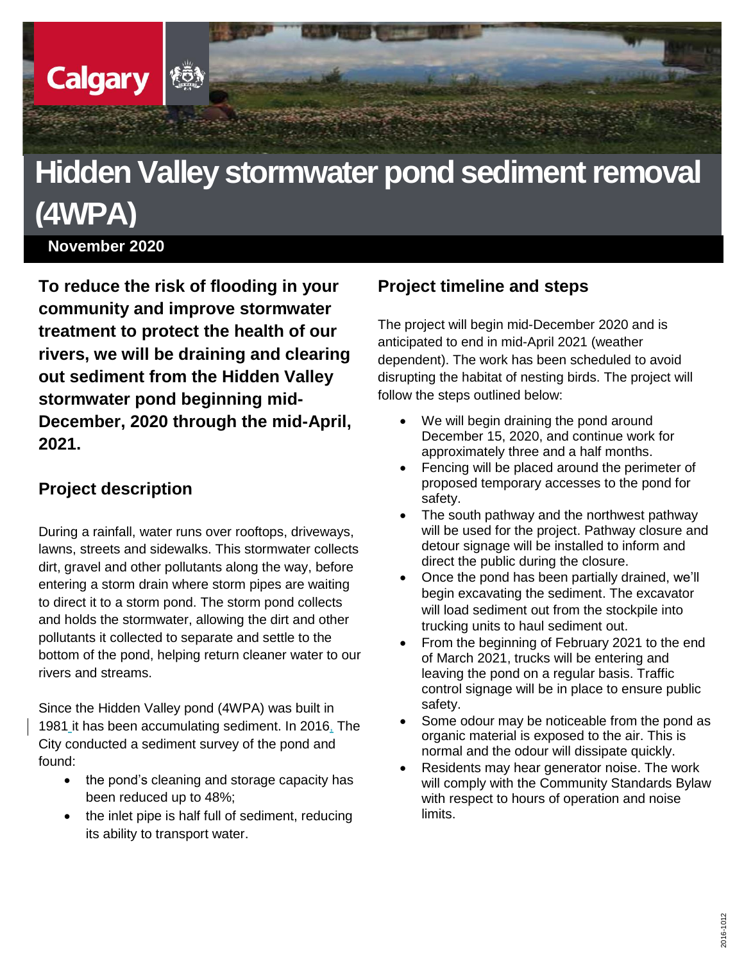# **Hidden Valley stormwater pond sediment removal (4WPA)**

**November 2020**

**Calgary** 

**To reduce the risk of flooding in your community and improve stormwater treatment to protect the health of our rivers, we will be draining and clearing out sediment from the Hidden Valley stormwater pond beginning mid-December, 2020 through the mid-April, 2021.** 

#### **Project description**

During a rainfall, water runs over rooftops, driveways, lawns, streets and sidewalks. This stormwater collects dirt, gravel and other pollutants along the way, before entering a storm drain where storm pipes are waiting to direct it to a storm pond. The storm pond collects and holds the stormwater, allowing the dirt and other pollutants it collected to separate and settle to the bottom of the pond, helping return cleaner water to our rivers and streams.

Since the Hidden Valley pond (4WPA) was built in 1981 it has been accumulating sediment. In 2016, The City conducted a sediment survey of the pond and found:

- the pond's cleaning and storage capacity has been reduced up to 48%;
- the inlet pipe is half full of sediment, reducing its ability to transport water.

### **Project timeline and steps**

The project will begin mid-December 2020 and is anticipated to end in mid-April 2021 (weather dependent). The work has been scheduled to avoid disrupting the habitat of nesting birds. The project will follow the steps outlined below:

- We will begin draining the pond around December 15, 2020, and continue work for approximately three and a half months.
- Fencing will be placed around the perimeter of proposed temporary accesses to the pond for safety.
- The south pathway and the northwest pathway will be used for the project. Pathway closure and detour signage will be installed to inform and direct the public during the closure.
- Once the pond has been partially drained, we'll begin excavating the sediment. The excavator will load sediment out from the stockpile into trucking units to haul sediment out.
- From the beginning of February 2021 to the end of March 2021, trucks will be entering and leaving the pond on a regular basis. Traffic control signage will be in place to ensure public safety.
- Some odour may be noticeable from the pond as organic material is exposed to the air. This is normal and the odour will dissipate quickly.
- Residents may hear generator noise. The work will comply with the Community Standards Bylaw with respect to hours of operation and noise limits.